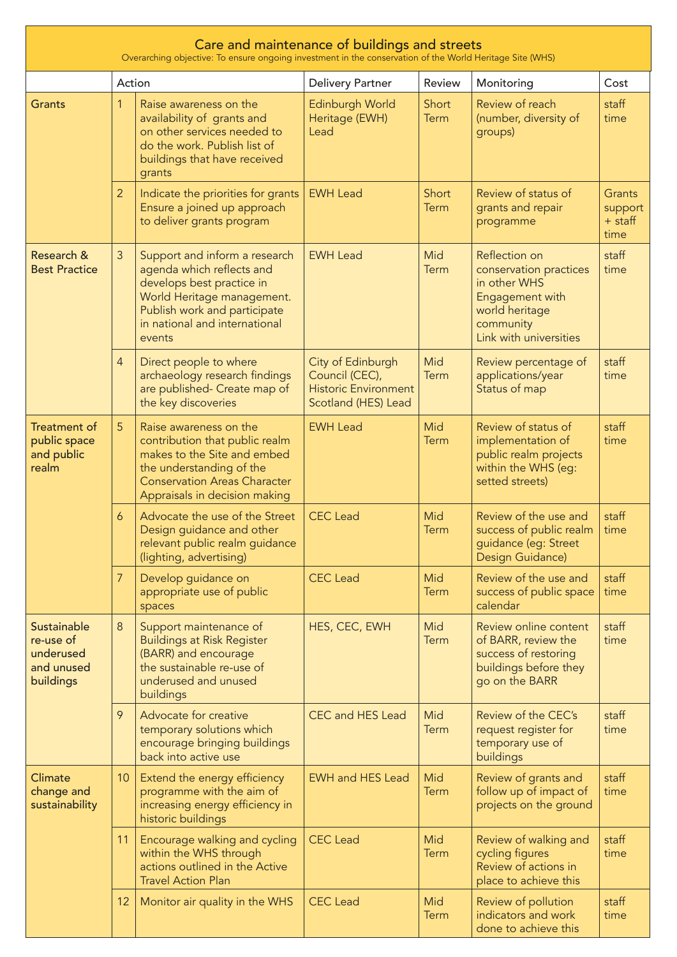| Care and maintenance of buildings and streets<br>Overarching objective: To ensure ongoing investment in the conservation of the World Heritage Site (WHS) |                 |                                                                                                                                                                                                  |                                                                                           |                      |                                                                                                                                     |                                        |  |  |
|-----------------------------------------------------------------------------------------------------------------------------------------------------------|-----------------|--------------------------------------------------------------------------------------------------------------------------------------------------------------------------------------------------|-------------------------------------------------------------------------------------------|----------------------|-------------------------------------------------------------------------------------------------------------------------------------|----------------------------------------|--|--|
|                                                                                                                                                           |                 | Action                                                                                                                                                                                           | <b>Delivery Partner</b>                                                                   | Review               | Monitoring                                                                                                                          | Cost                                   |  |  |
| <b>Grants</b>                                                                                                                                             | $\mathbf{1}$    | Raise awareness on the<br>availability of grants and<br>on other services needed to<br>do the work. Publish list of<br>buildings that have received<br>grants                                    | Edinburgh World<br>Heritage (EWH)<br>Lead                                                 | Short<br>Term        | Review of reach<br>(number, diversity of<br>groups)                                                                                 | staff<br>time                          |  |  |
|                                                                                                                                                           | $\overline{2}$  | Indicate the priorities for grants<br>Ensure a joined up approach<br>to deliver grants program                                                                                                   | <b>EWH Lead</b>                                                                           | Short<br><b>Term</b> | Review of status of<br>grants and repair<br>programme                                                                               | Grants<br>support<br>$+$ staff<br>time |  |  |
| Research &<br><b>Best Practice</b>                                                                                                                        | 3               | Support and inform a research<br>agenda which reflects and<br>develops best practice in<br>World Heritage management.<br>Publish work and participate<br>in national and international<br>events | <b>EWH Lead</b>                                                                           | Mid<br><b>Term</b>   | Reflection on<br>conservation practices<br>in other WHS<br>Engagement with<br>world heritage<br>community<br>Link with universities | staff<br>time                          |  |  |
|                                                                                                                                                           | $\overline{4}$  | Direct people to where<br>archaeology research findings<br>are published- Create map of<br>the key discoveries                                                                                   | City of Edinburgh<br>Council (CEC),<br><b>Historic Environment</b><br>Scotland (HES) Lead | Mid<br>Term          | Review percentage of<br>applications/year<br>Status of map                                                                          | staff<br>time                          |  |  |
| <b>Treatment of</b><br>public space<br>and public<br>realm                                                                                                | 5               | Raise awareness on the<br>contribution that public realm<br>makes to the Site and embed<br>the understanding of the<br><b>Conservation Areas Character</b><br>Appraisals in decision making      | <b>EWH Lead</b>                                                                           | Mid<br><b>Term</b>   | Review of status of<br>implementation of<br>public realm projects<br>within the WHS (eg:<br>setted streets)                         | staff<br>time                          |  |  |
|                                                                                                                                                           | 6               | Advocate the use of the Street<br>Design guidance and other<br>relevant public realm guidance<br>(lighting, advertising)                                                                         | <b>CEC</b> Lead                                                                           | Mid<br>Term          | Review of the use and<br>success of public realm<br>guidance (eg: Street<br>Design Guidance)                                        | staff<br>time                          |  |  |
|                                                                                                                                                           | $\overline{7}$  | Develop guidance on<br>appropriate use of public<br>spaces                                                                                                                                       | <b>CEC</b> Lead                                                                           | Mid<br><b>Term</b>   | Review of the use and<br>success of public space<br>calendar                                                                        | staff<br>time                          |  |  |
| Sustainable<br>re-use of<br>underused<br>and unused<br>buildings                                                                                          | 8               | Support maintenance of<br><b>Buildings at Risk Register</b><br>(BARR) and encourage<br>the sustainable re-use of<br>underused and unused<br>buildings                                            | HES, CEC, EWH                                                                             | Mid<br><b>Term</b>   | Review online content<br>of BARR, review the<br>success of restoring<br>buildings before they<br>go on the BARR                     | staff<br>time                          |  |  |
|                                                                                                                                                           | 9               | Advocate for creative<br>temporary solutions which<br>encourage bringing buildings<br>back into active use                                                                                       | CEC and HES Lead                                                                          | Mid<br>Term          | Review of the CEC's<br>request register for<br>temporary use of<br>buildings                                                        | staff<br>time                          |  |  |
| Climate<br>change and<br>sustainability                                                                                                                   | 10 <sup>°</sup> | Extend the energy efficiency<br>programme with the aim of<br>increasing energy efficiency in<br>historic buildings                                                                               | <b>EWH and HES Lead</b>                                                                   | Mid<br><b>Term</b>   | Review of grants and<br>follow up of impact of<br>projects on the ground                                                            | staff<br>time                          |  |  |
|                                                                                                                                                           | 11              | Encourage walking and cycling<br>within the WHS through<br>actions outlined in the Active<br><b>Travel Action Plan</b>                                                                           | <b>CEC</b> Lead                                                                           | Mid<br><b>Term</b>   | Review of walking and<br>cycling figures<br>Review of actions in<br>place to achieve this                                           | staff<br>time                          |  |  |
|                                                                                                                                                           | 12              | Monitor air quality in the WHS                                                                                                                                                                   | <b>CEC</b> Lead                                                                           | Mid<br><b>Term</b>   | Review of pollution<br>indicators and work<br>done to achieve this                                                                  | staff<br>time                          |  |  |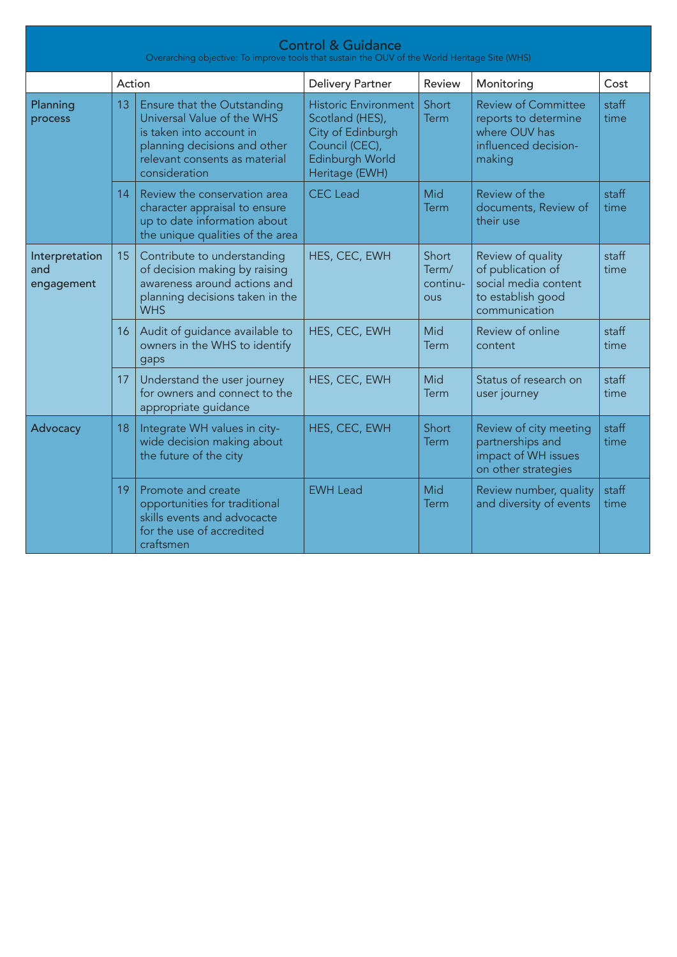| <b>Control &amp; Guidance</b><br>Overarching objective: To improve tools that sustain the OUV of the World Heritage Site (WHS) |    |                                                                                                                                                                         |                                                                                                                            |                                          |                                                                                                       |               |  |  |
|--------------------------------------------------------------------------------------------------------------------------------|----|-------------------------------------------------------------------------------------------------------------------------------------------------------------------------|----------------------------------------------------------------------------------------------------------------------------|------------------------------------------|-------------------------------------------------------------------------------------------------------|---------------|--|--|
| Action                                                                                                                         |    |                                                                                                                                                                         | <b>Delivery Partner</b>                                                                                                    | Review                                   | Monitoring                                                                                            | Cost          |  |  |
| Planning<br>process                                                                                                            | 13 | Ensure that the Outstanding<br>Universal Value of the WHS<br>is taken into account in<br>planning decisions and other<br>relevant consents as material<br>consideration | <b>Historic Environment</b><br>Scotland (HES),<br>City of Edinburgh<br>Council (CEC),<br>Edinburgh World<br>Heritage (EWH) | Short<br><b>Term</b>                     | <b>Review of Committee</b><br>reports to determine<br>where OUV has<br>influenced decision-<br>making | staff<br>time |  |  |
|                                                                                                                                | 14 | Review the conservation area<br>character appraisal to ensure<br>up to date information about<br>the unique qualities of the area                                       | <b>CEC</b> Lead                                                                                                            | Mid<br><b>Term</b>                       | Review of the<br>documents, Review of<br>their use                                                    | staff<br>time |  |  |
| Interpretation<br>and<br>engagement                                                                                            | 15 | Contribute to understanding<br>of decision making by raising<br>awareness around actions and<br>planning decisions taken in the<br><b>WHS</b>                           | HES, CEC, EWH                                                                                                              | Short<br>Term/<br>continu-<br><b>OUS</b> | Review of quality<br>of publication of<br>social media content<br>to establish good<br>communication  | staff<br>time |  |  |
|                                                                                                                                | 16 | Audit of guidance available to<br>owners in the WHS to identify<br>gaps                                                                                                 | HES, CEC, EWH                                                                                                              | Mid<br><b>Term</b>                       | Review of online<br>content                                                                           | staff<br>time |  |  |
|                                                                                                                                | 17 | Understand the user journey<br>for owners and connect to the<br>appropriate guidance                                                                                    | HES, CEC, EWH                                                                                                              | Mid<br><b>Term</b>                       | Status of research on<br>user journey                                                                 | staff<br>time |  |  |
| Advocacy                                                                                                                       | 18 | Integrate WH values in city-<br>wide decision making about<br>the future of the city                                                                                    | HES, CEC, EWH                                                                                                              | Short<br>Term                            | Review of city meeting<br>partnerships and<br>impact of WH issues<br>on other strategies              | staff<br>time |  |  |
|                                                                                                                                | 19 | Promote and create<br>opportunities for traditional<br>skills events and advocacte<br>for the use of accredited<br>craftsmen                                            | <b>EWH Lead</b>                                                                                                            | Mid<br>Term                              | Review number, quality<br>and diversity of events                                                     | staff<br>time |  |  |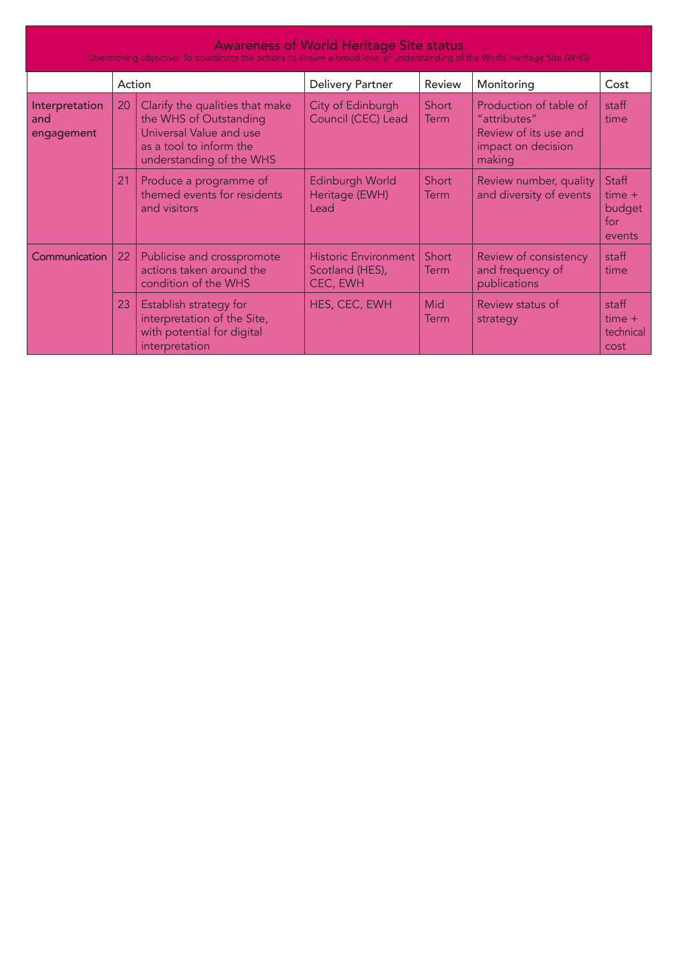| <b>Awareness of World Heritage Site status</b><br>Overarching objective: To coordinate the actions to ensure a broad level of understanding of the World Heritage Site (WHS) |        |                                                                                                                                             |                                                            |                      |                                                                                                 |                                                     |  |  |
|------------------------------------------------------------------------------------------------------------------------------------------------------------------------------|--------|---------------------------------------------------------------------------------------------------------------------------------------------|------------------------------------------------------------|----------------------|-------------------------------------------------------------------------------------------------|-----------------------------------------------------|--|--|
|                                                                                                                                                                              | Action |                                                                                                                                             | <b>Delivery Partner</b>                                    | Review               | Monitoring                                                                                      | Cost                                                |  |  |
| Interpretation<br>and<br>engagement                                                                                                                                          | 20     | Clarify the qualities that make<br>the WHS of Outstanding<br>Universal Value and use<br>as a tool to inform the<br>understanding of the WHS | City of Edinburgh<br>Council (CEC) Lead                    | Short<br><b>Term</b> | Production of table of<br>"attributes"<br>Review of its use and<br>impact on decision<br>making | staff<br>time                                       |  |  |
|                                                                                                                                                                              | 21     | Produce a programme of<br>themed events for residents<br>and visitors                                                                       | Edinburgh World<br>Heritage (EWH)<br>Lead                  | Short<br><b>Term</b> | Review number, quality<br>and diversity of events                                               | <b>Staff</b><br>$time +$<br>budget<br>for<br>events |  |  |
| Communication                                                                                                                                                                | 22     | Publicise and crosspromote<br>actions taken around the<br>condition of the WHS                                                              | <b>Historic Environment</b><br>Scotland (HES),<br>CEC, EWH | Short<br>Term        | Review of consistency<br>and frequency of<br>publications                                       | staff<br>time                                       |  |  |
|                                                                                                                                                                              | 23     | Establish strategy for<br>interpretation of the Site,<br>with potential for digital<br>interpretation                                       | HES, CEC, EWH                                              | Mid<br>Term          | Review status of<br>strategy                                                                    | staff<br>$time +$<br>technical<br>cost              |  |  |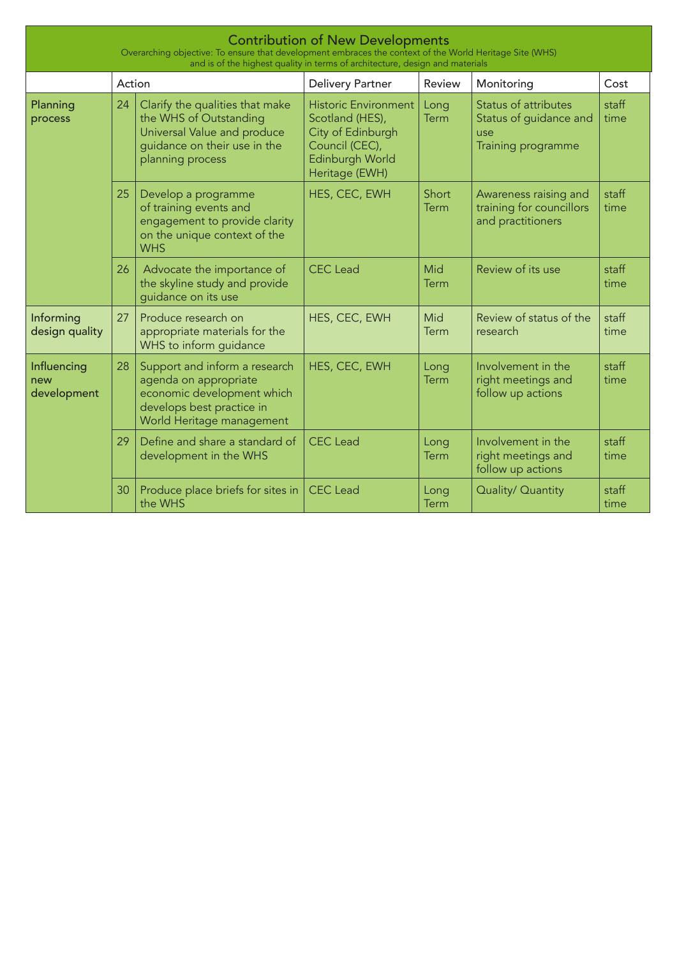| <b>Contribution of New Developments</b><br>Overarching objective: To ensure that development embraces the context of the World Heritage Site (WHS)<br>and is of the highest quality in terms of architecture, design and materials |        |                                                                                                                                                |                                                                                                                            |                      |                                                                                    |               |  |  |
|------------------------------------------------------------------------------------------------------------------------------------------------------------------------------------------------------------------------------------|--------|------------------------------------------------------------------------------------------------------------------------------------------------|----------------------------------------------------------------------------------------------------------------------------|----------------------|------------------------------------------------------------------------------------|---------------|--|--|
|                                                                                                                                                                                                                                    | Action |                                                                                                                                                | <b>Delivery Partner</b>                                                                                                    | Review               | Monitoring                                                                         | Cost          |  |  |
| Planning<br>process                                                                                                                                                                                                                | 24     | Clarify the qualities that make<br>the WHS of Outstanding<br>Universal Value and produce<br>guidance on their use in the<br>planning process   | <b>Historic Environment</b><br>Scotland (HES),<br>City of Edinburgh<br>Council (CEC),<br>Edinburgh World<br>Heritage (EWH) | Long<br>Term         | <b>Status of attributes</b><br>Status of guidance and<br>use<br>Training programme | staff<br>time |  |  |
|                                                                                                                                                                                                                                    | 25     | Develop a programme<br>of training events and<br>engagement to provide clarity<br>on the unique context of the<br><b>WHS</b>                   | HES, CEC, EWH                                                                                                              | Short<br><b>Term</b> | Awareness raising and<br>training for councillors<br>and practitioners             | staff<br>time |  |  |
|                                                                                                                                                                                                                                    | 26     | Advocate the importance of<br>the skyline study and provide<br>guidance on its use                                                             | <b>CEC</b> Lead                                                                                                            | Mid<br>Term          | Review of its use                                                                  | staff<br>time |  |  |
| Informing<br>design quality                                                                                                                                                                                                        | 27     | Produce research on<br>appropriate materials for the<br>WHS to inform guidance                                                                 | HES, CEC, EWH                                                                                                              | Mid<br>Term          | Review of status of the<br>research                                                | staff<br>time |  |  |
| Influencing<br>new<br>development                                                                                                                                                                                                  | 28     | Support and inform a research<br>agenda on appropriate<br>economic development which<br>develops best practice in<br>World Heritage management | HES, CEC, EWH                                                                                                              | Long<br><b>Term</b>  | Involvement in the<br>right meetings and<br>follow up actions                      | staff<br>time |  |  |
|                                                                                                                                                                                                                                    | 29     | Define and share a standard of<br>development in the WHS                                                                                       | <b>CEC</b> Lead                                                                                                            | Long<br><b>Term</b>  | Involvement in the<br>right meetings and<br>follow up actions                      | staff<br>time |  |  |
|                                                                                                                                                                                                                                    | 30     | Produce place briefs for sites in<br>the WHS                                                                                                   | <b>CEC</b> Lead                                                                                                            | Long<br>Term         | Quality/ Quantity                                                                  | staff<br>time |  |  |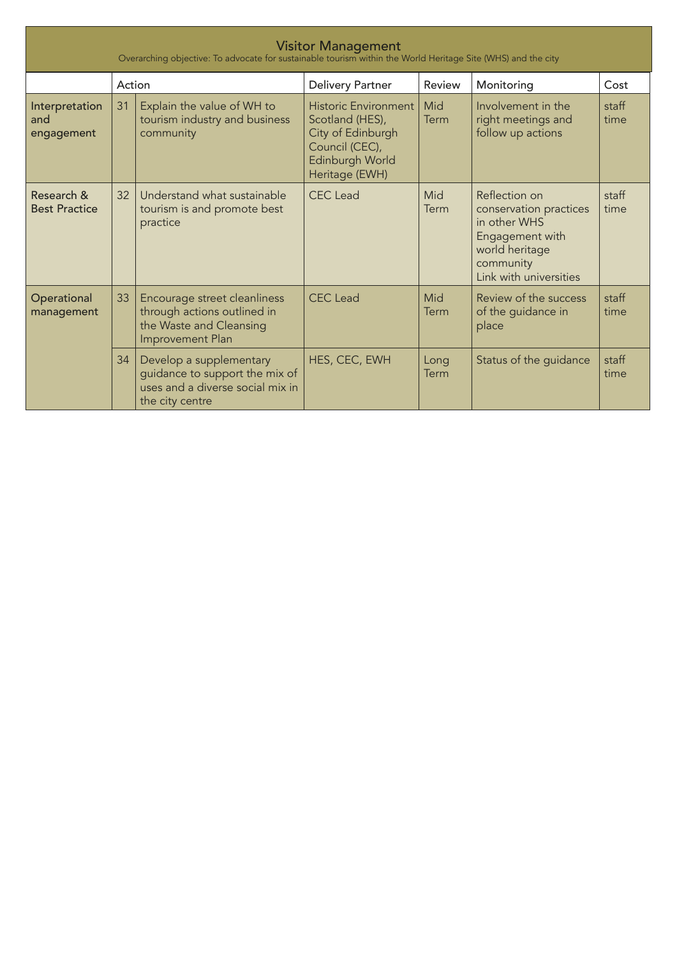| <b>Visitor Management</b><br>Overarching objective: To advocate for sustainable tourism within the World Heritage Site (WHS) and the city |        |                                                                                                                  |                                                                                                                            |              |                                                                                                                                     |               |  |  |
|-------------------------------------------------------------------------------------------------------------------------------------------|--------|------------------------------------------------------------------------------------------------------------------|----------------------------------------------------------------------------------------------------------------------------|--------------|-------------------------------------------------------------------------------------------------------------------------------------|---------------|--|--|
|                                                                                                                                           | Action |                                                                                                                  | <b>Delivery Partner</b>                                                                                                    | Review       | Monitoring                                                                                                                          | Cost          |  |  |
| Interpretation<br>and<br>engagement                                                                                                       | 31     | Explain the value of WH to<br>tourism industry and business<br>community                                         | <b>Historic Environment</b><br>Scotland (HES),<br>City of Edinburgh<br>Council (CEC),<br>Edinburgh World<br>Heritage (EWH) | Mid<br>Term  | Involvement in the<br>right meetings and<br>follow up actions                                                                       | staff<br>time |  |  |
| Research &<br><b>Best Practice</b>                                                                                                        | 32     | Understand what sustainable<br>tourism is and promote best<br>practice                                           | <b>CEC</b> Lead                                                                                                            | Mid<br>Term  | Reflection on<br>conservation practices<br>in other WHS<br>Engagement with<br>world heritage<br>community<br>Link with universities | staff<br>time |  |  |
| Operational<br>management                                                                                                                 | 33     | Encourage street cleanliness<br>through actions outlined in<br>the Waste and Cleansing<br>Improvement Plan       | <b>CEC</b> Lead                                                                                                            | Mid<br>Term  | Review of the success<br>of the guidance in<br>place                                                                                | staff<br>time |  |  |
|                                                                                                                                           | 34     | Develop a supplementary<br>guidance to support the mix of<br>uses and a diverse social mix in<br>the city centre | HES, CEC, EWH                                                                                                              | Long<br>Term | Status of the guidance                                                                                                              | staff<br>time |  |  |